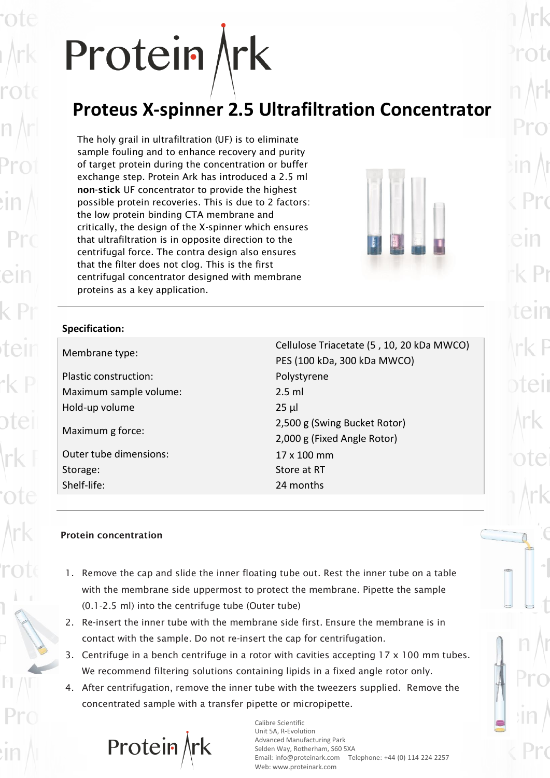# Protein Ark

## **Proteus X-spinner 2.5 Ultrafiltration Concentrator**

The holy grail in ultrafiltration (UF) is to eliminate sample fouling and to enhance recovery and purity of target protein during the concentration or buffer exchange step. Protein Ark has introduced a 2.5 ml **non-stick** UF concentrator to provide the highest possible protein recoveries. This is due to 2 factors: the low protein binding CTA membrane and critically, the design of the X-spinner which ensures that ultrafiltration is in opposite direction to the centrifugal force. The contra design also ensures that the filter does not clog. This is the first centrifugal concentrator designed with membrane proteins as a key application.



#### **Specification:**

| Membrane type:         | Cellulose Triacetate (5, 10, 20 kDa MWCO)<br>PES (100 kDa, 300 kDa MWCO) |  |
|------------------------|--------------------------------------------------------------------------|--|
| Plastic construction:  | Polystyrene                                                              |  |
| Maximum sample volume: | $2.5$ ml                                                                 |  |
| Hold-up volume         | $25 \mu$                                                                 |  |
| Maximum g force:       | 2,500 g (Swing Bucket Rotor)<br>2,000 g (Fixed Angle Rotor)              |  |
| Outer tube dimensions: | 17 x 100 mm                                                              |  |
| Storage:               | Store at RT                                                              |  |
| Shelf-life:            | 24 months                                                                |  |
|                        |                                                                          |  |

#### **Protein concentration**

- 1. Remove the cap and slide the inner floating tube out. Rest the inner tube on a table with the membrane side uppermost to protect the membrane. Pipette the sample (0.1-2.5 ml) into the centrifuge tube (Outer tube)
- 2. Re-insert the inner tube with the membrane side first. Ensure the membrane is in contact with the sample. Do not re-insert the cap for centrifugation.
- 3. Centrifuge in a bench centrifuge in a rotor with cavities accepting 17 x 100 mm tubes. We recommend filtering solutions containing lipids in a fixed angle rotor only.
- 4. After centrifugation, remove the inner tube with the tweezers supplied. Remove the concentrated sample with a transfer pipette or micropipette.

Protein $/$ 

Calibre Scientific Unit 5A, R-Evolution Advanced Manufacturing Park Selden Way, Rotherham, S60 5XA Email: info@proteinark.com Telephone: +44 (0) 114 224 2257 Web: www.proteinark.com